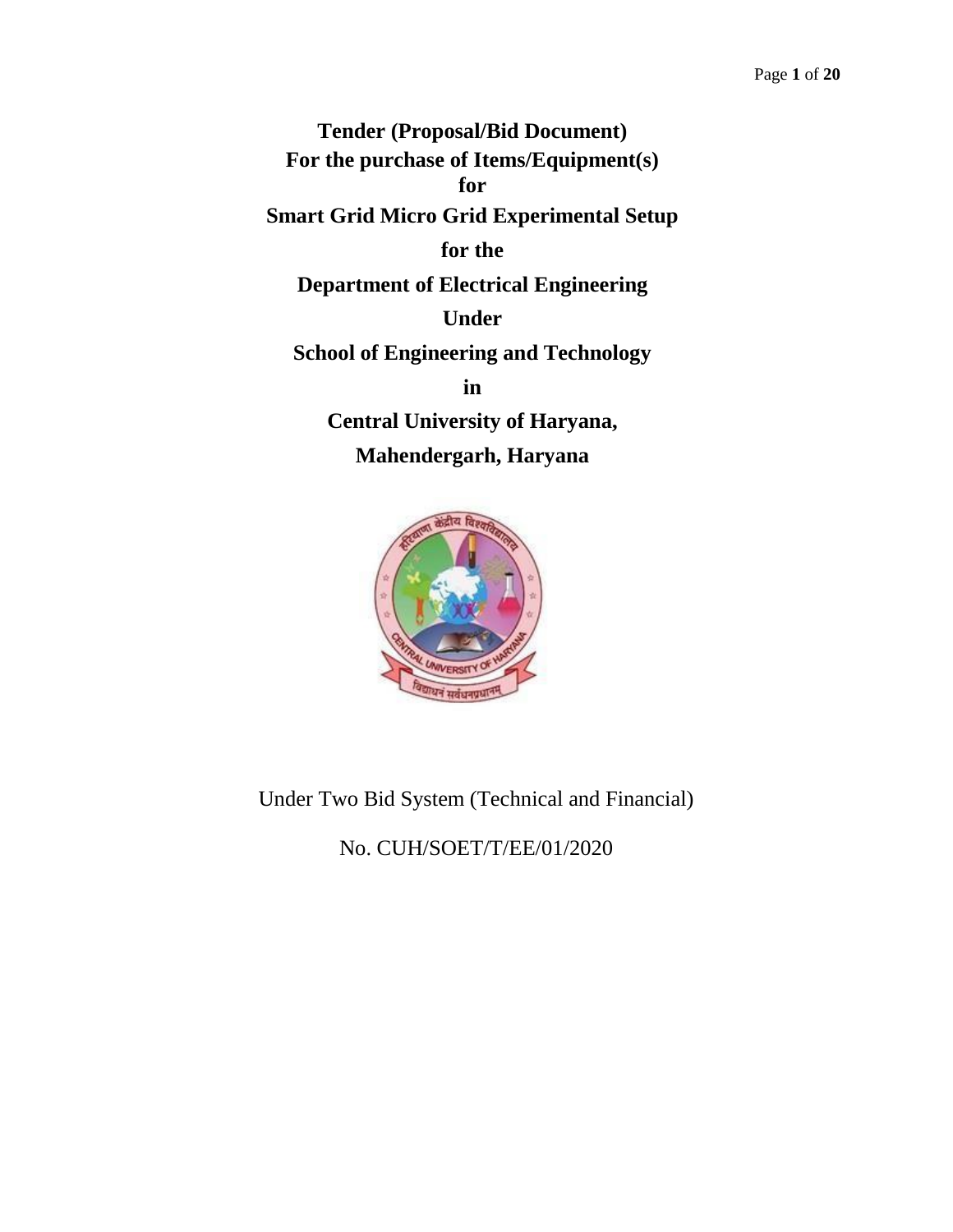**Tender (Proposal/Bid Document) For the purchase of Items/Equipment(s) for Smart Grid Micro Grid Experimental Setup for the Department of Electrical Engineering Under School of Engineering and Technology in Central University of Haryana, Mahendergarh, Haryana**



Under Two Bid System (Technical and Financial)

No. CUH/SOET/T/EE/01/2020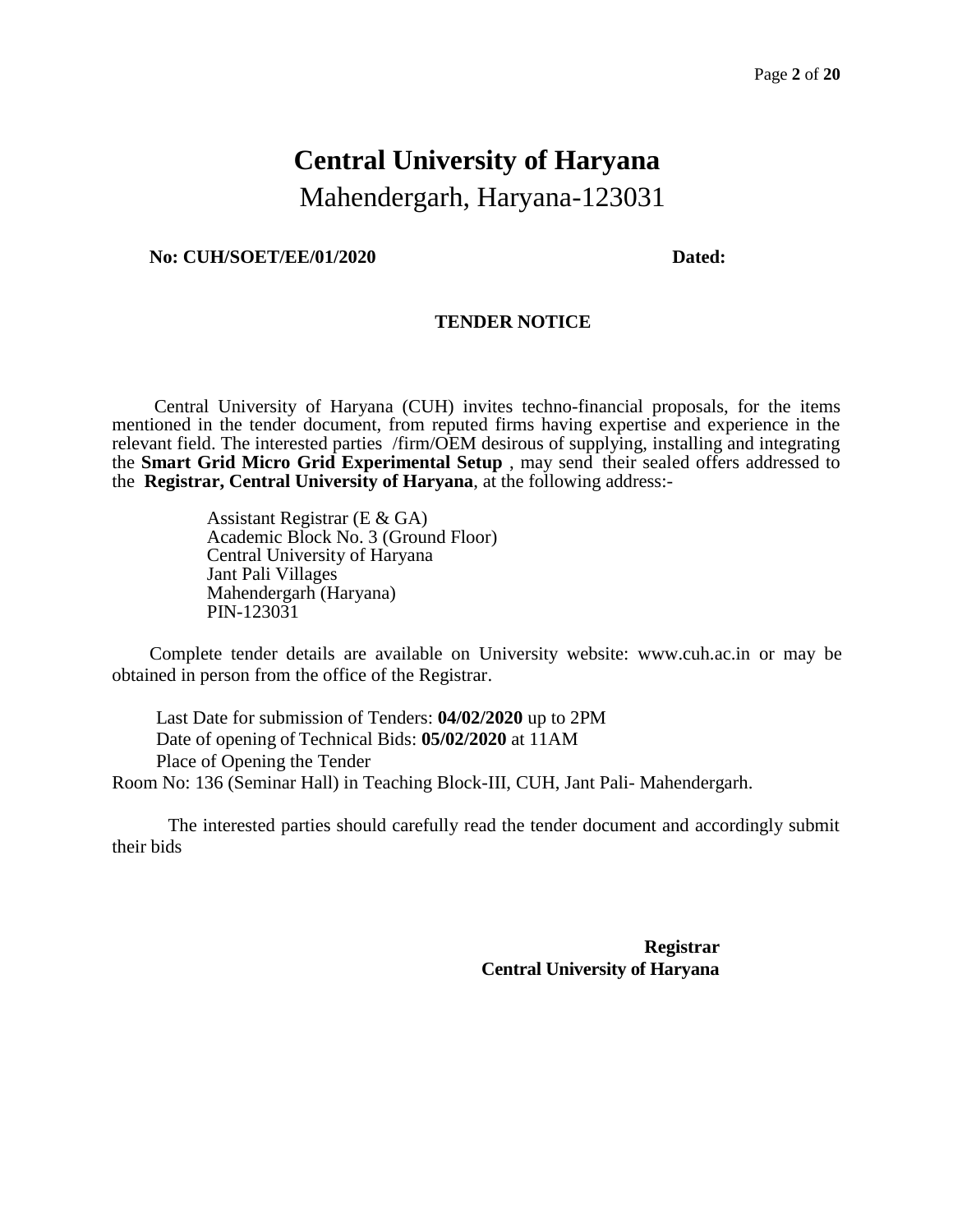# **Central University of Haryana** Mahendergarh, Haryana-123031

#### **No: CUH/SOET/EE/01/2020 Dated:**

#### **TENDER NOTICE**

Central University of Haryana (CUH) invites techno-financial proposals, for the items mentioned in the tender document, from reputed firms having expertise and experience in the relevant field. The interested parties /firm/OEM desirous of supplying, installing and integrating the **Smart Grid Micro Grid Experimental Setup** , may send their sealed offers addressed to the **Registrar, Central University of Haryana**, at the following address:-

> Assistant Registrar (E & GA) Academic Block No. 3 (Ground Floor) Central University of Haryana Jant Pali Villages Mahendergarh (Haryana) PIN-123031

Complete tender details are available on University website: [www.cuh.ac.in](http://www.cuh.ac.in/) or may be obtained in person from the office of the Registrar.

Last Date for submission of Tenders: **04/02/2020** up to 2PM Date of opening of Technical Bids: **05/02/2020** at 11AM Place of Opening the Tender Room No: 136 (Seminar Hall) in Teaching Block-III, CUH, Jant Pali- Mahendergarh.

The interested parties should carefully read the tender document and accordingly submit their bids

> **Registrar Central University of Haryana**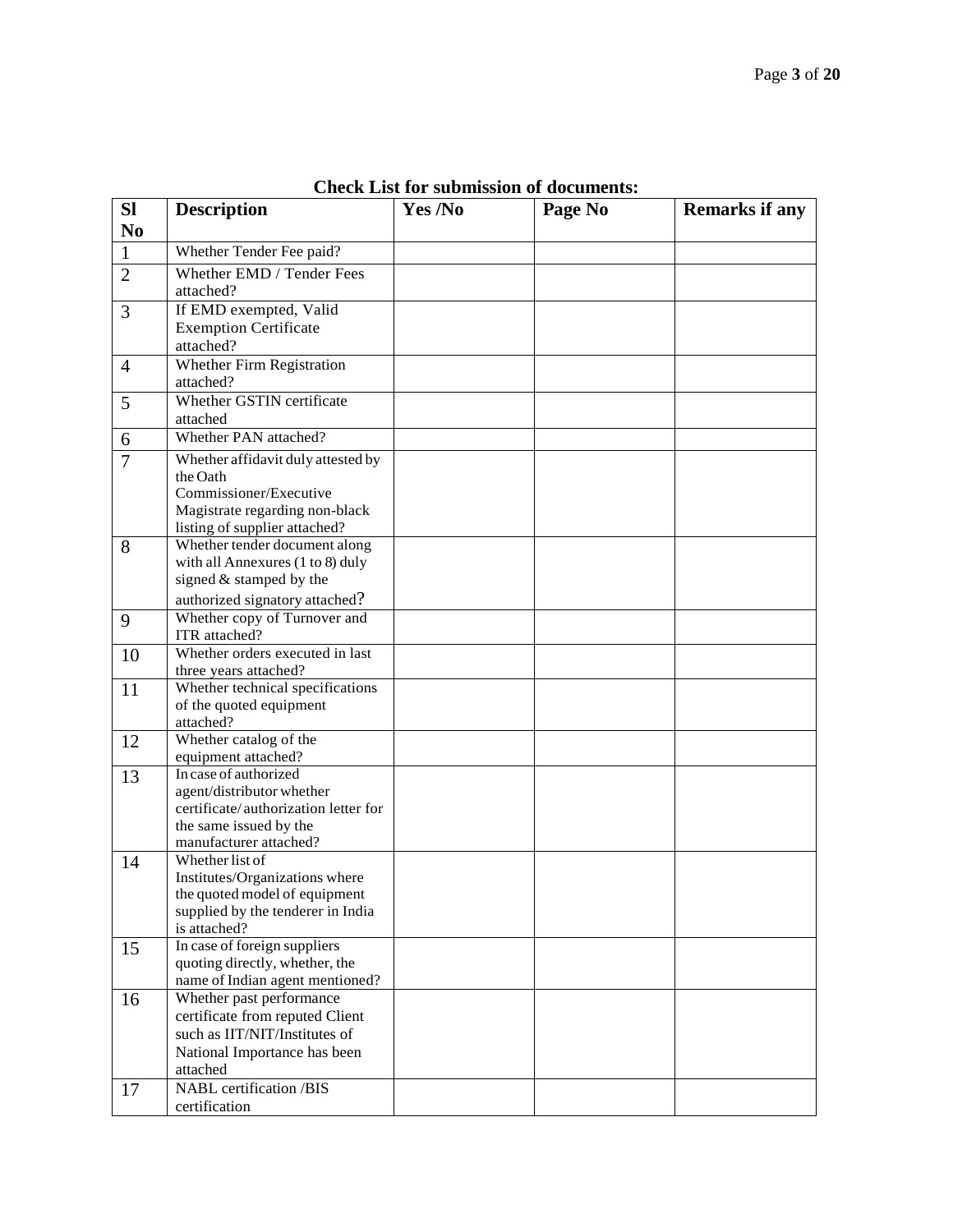| <b>SI</b>      | <b>Description</b>                                              | Yes /No | Page No | <b>Remarks if any</b> |
|----------------|-----------------------------------------------------------------|---------|---------|-----------------------|
| N <sub>0</sub> |                                                                 |         |         |                       |
| $\mathbf{1}$   | Whether Tender Fee paid?                                        |         |         |                       |
| $\overline{2}$ | Whether EMD / Tender Fees                                       |         |         |                       |
|                | attached?                                                       |         |         |                       |
| 3              | If EMD exempted, Valid                                          |         |         |                       |
|                | <b>Exemption Certificate</b>                                    |         |         |                       |
|                | attached?                                                       |         |         |                       |
| $\overline{4}$ | Whether Firm Registration                                       |         |         |                       |
|                | attached?                                                       |         |         |                       |
| 5              | Whether GSTIN certificate                                       |         |         |                       |
|                | attached                                                        |         |         |                       |
| 6              | Whether PAN attached?                                           |         |         |                       |
| $\overline{7}$ | Whether affidavit duly attested by                              |         |         |                       |
|                | the Oath                                                        |         |         |                       |
|                | Commissioner/Executive                                          |         |         |                       |
|                | Magistrate regarding non-black                                  |         |         |                       |
|                | listing of supplier attached?<br>Whether tender document along  |         |         |                       |
| 8              | with all Annexures (1 to 8) duly                                |         |         |                       |
|                | signed & stamped by the                                         |         |         |                       |
|                | authorized signatory attached?                                  |         |         |                       |
| 9              | Whether copy of Turnover and                                    |         |         |                       |
|                | ITR attached?                                                   |         |         |                       |
| 10             | Whether orders executed in last                                 |         |         |                       |
|                | three years attached?                                           |         |         |                       |
| 11             | Whether technical specifications                                |         |         |                       |
|                | of the quoted equipment                                         |         |         |                       |
|                | attached?<br>Whether catalog of the                             |         |         |                       |
| 12             | equipment attached?                                             |         |         |                       |
| 13             | In case of authorized                                           |         |         |                       |
|                | agent/distributor whether                                       |         |         |                       |
|                | certificate/authorization letter for                            |         |         |                       |
|                | the same issued by the                                          |         |         |                       |
|                | manufacturer attached?                                          |         |         |                       |
| 14             | Whether list of                                                 |         |         |                       |
|                | Institutes/Organizations where<br>the quoted model of equipment |         |         |                       |
|                | supplied by the tenderer in India                               |         |         |                       |
|                | is attached?                                                    |         |         |                       |
| 15             | In case of foreign suppliers                                    |         |         |                       |
|                | quoting directly, whether, the                                  |         |         |                       |
|                | name of Indian agent mentioned?                                 |         |         |                       |
| 16             | Whether past performance                                        |         |         |                       |
|                | certificate from reputed Client                                 |         |         |                       |
|                | such as IIT/NIT/Institutes of                                   |         |         |                       |
|                | National Importance has been                                    |         |         |                       |
|                | attached<br><b>NABL</b> certification /BIS                      |         |         |                       |
| 17             |                                                                 |         |         |                       |
|                | certification                                                   |         |         |                       |

**Check List for submission of documents:**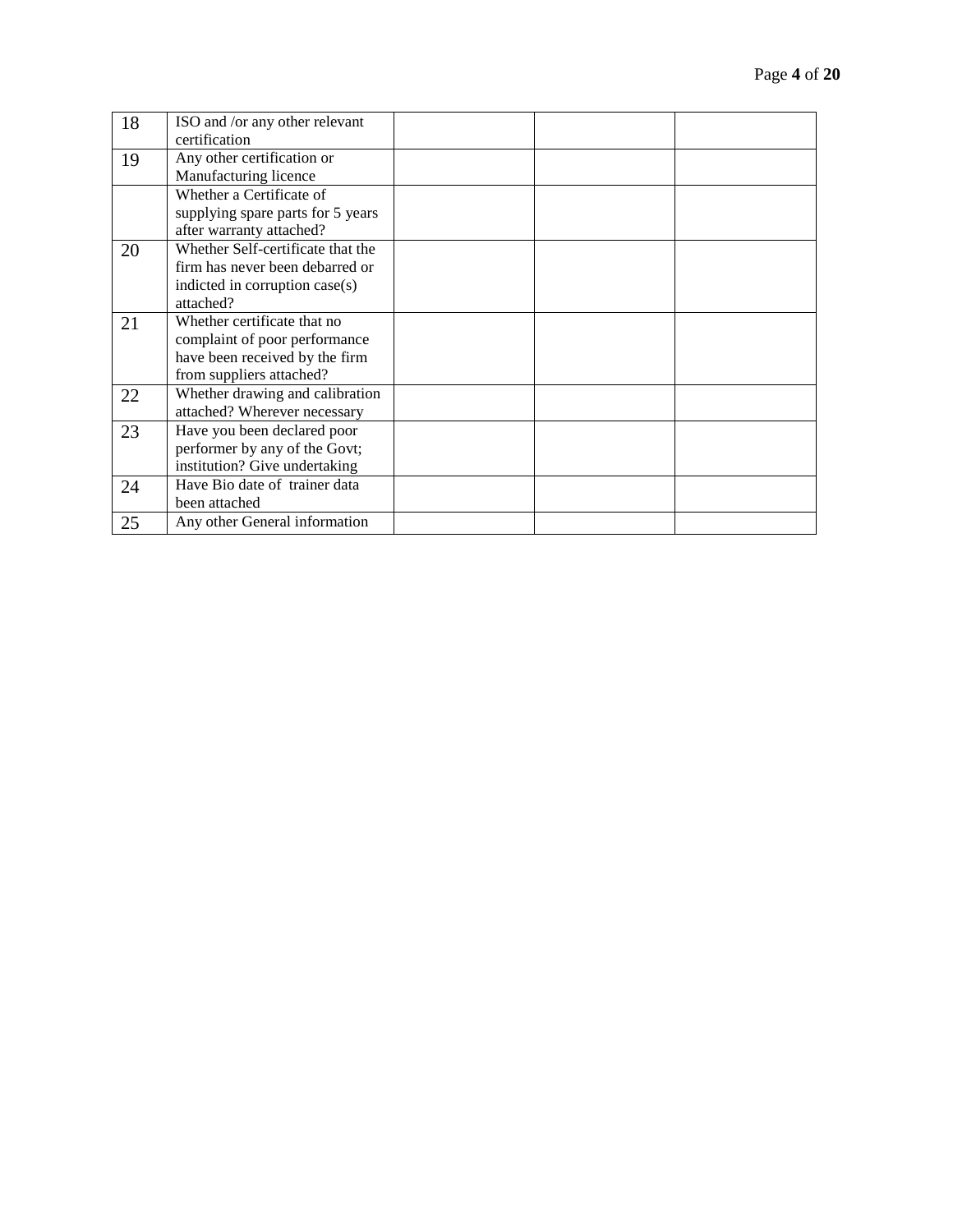| 18 | ISO and /or any other relevant    |  |  |
|----|-----------------------------------|--|--|
|    | certification                     |  |  |
| 19 | Any other certification or        |  |  |
|    | Manufacturing licence             |  |  |
|    | Whether a Certificate of          |  |  |
|    | supplying spare parts for 5 years |  |  |
|    | after warranty attached?          |  |  |
| 20 | Whether Self-certificate that the |  |  |
|    | firm has never been debarred or   |  |  |
|    | indicted in corruption case(s)    |  |  |
|    | attached?                         |  |  |
| 21 | Whether certificate that no       |  |  |
|    | complaint of poor performance     |  |  |
|    | have been received by the firm    |  |  |
|    | from suppliers attached?          |  |  |
| 22 | Whether drawing and calibration   |  |  |
|    | attached? Wherever necessary      |  |  |
| 23 | Have you been declared poor       |  |  |
|    | performer by any of the Govt;     |  |  |
|    | institution? Give undertaking     |  |  |
| 24 | Have Bio date of trainer data     |  |  |
|    | been attached                     |  |  |
| 25 | Any other General information     |  |  |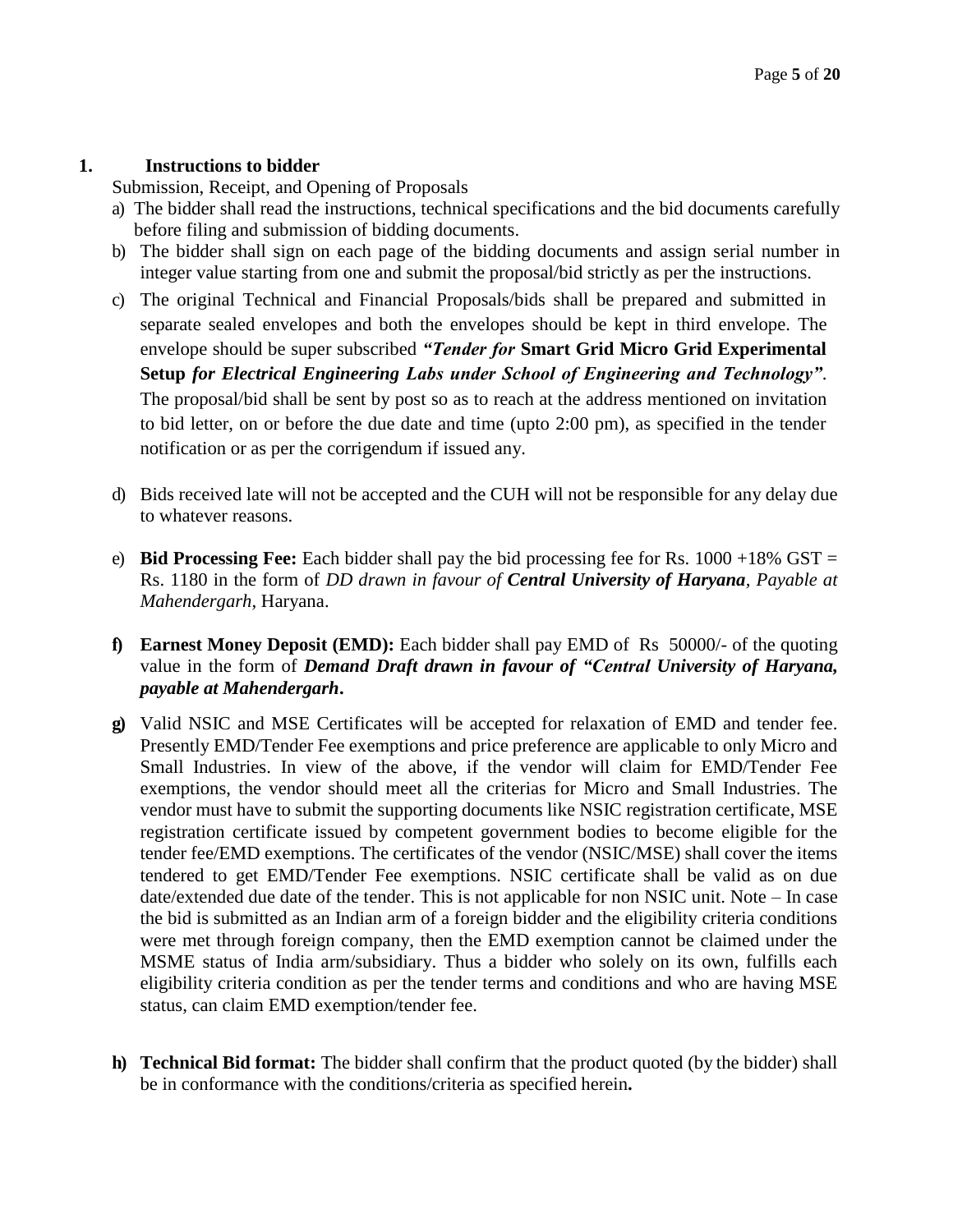# **1. Instructions to bidder**

Submission, Receipt, and Opening of Proposals

- a) The bidder shall read the instructions, technical specifications and the bid documents carefully before filing and submission of bidding documents.
- b) The bidder shall sign on each page of the bidding documents and assign serial number in integer value starting from one and submit the proposal/bid strictly as per the instructions.
- c) The original Technical and Financial Proposals/bids shall be prepared and submitted in separate sealed envelopes and both the envelopes should be kept in third envelope. The envelope should be super subscribed *"Tender for* **Smart Grid Micro Grid Experimental Setup** *for Electrical Engineering Labs under School of Engineering and Technology"*. The proposal/bid shall be sent by post so as to reach at the address mentioned on invitation to bid letter, on or before the due date and time (upto 2:00 pm), as specified in the tender notification or as per the corrigendum if issued any.
- d) Bids received late will not be accepted and the CUH will not be responsible for any delay due to whatever reasons.
- e) **Bid Processing Fee:** Each bidder shall pay the bid processing fee for Rs.  $1000 +18\%$  GST = Rs. 1180 in the form of *DD drawn in favour of Central University of Haryana, Payable at Mahendergarh*, Haryana.
- **f) Earnest Money Deposit (EMD):** Each bidder shall pay EMD of Rs 50000/- of the quoting value in the form of *Demand Draft drawn in favour of "Central University of Haryana, payable at Mahendergarh***.**
- **g)** Valid NSIC and MSE Certificates will be accepted for relaxation of EMD and tender fee. Presently EMD/Tender Fee exemptions and price preference are applicable to only Micro and Small Industries. In view of the above, if the vendor will claim for EMD/Tender Fee exemptions, the vendor should meet all the criterias for Micro and Small Industries. The vendor must have to submit the supporting documents like NSIC registration certificate, MSE registration certificate issued by competent government bodies to become eligible for the tender fee/EMD exemptions. The certificates of the vendor (NSIC/MSE) shall cover the items tendered to get EMD/Tender Fee exemptions. NSIC certificate shall be valid as on due date/extended due date of the tender. This is not applicable for non NSIC unit. Note – In case the bid is submitted as an Indian arm of a foreign bidder and the eligibility criteria conditions were met through foreign company, then the EMD exemption cannot be claimed under the MSME status of India arm/subsidiary. Thus a bidder who solely on its own, fulfills each eligibility criteria condition as per the tender terms and conditions and who are having MSE status, can claim EMD exemption/tender fee.
- **h) Technical Bid format:** The bidder shall confirm that the product quoted (by the bidder) shall be in conformance with the conditions/criteria as specified herein**.**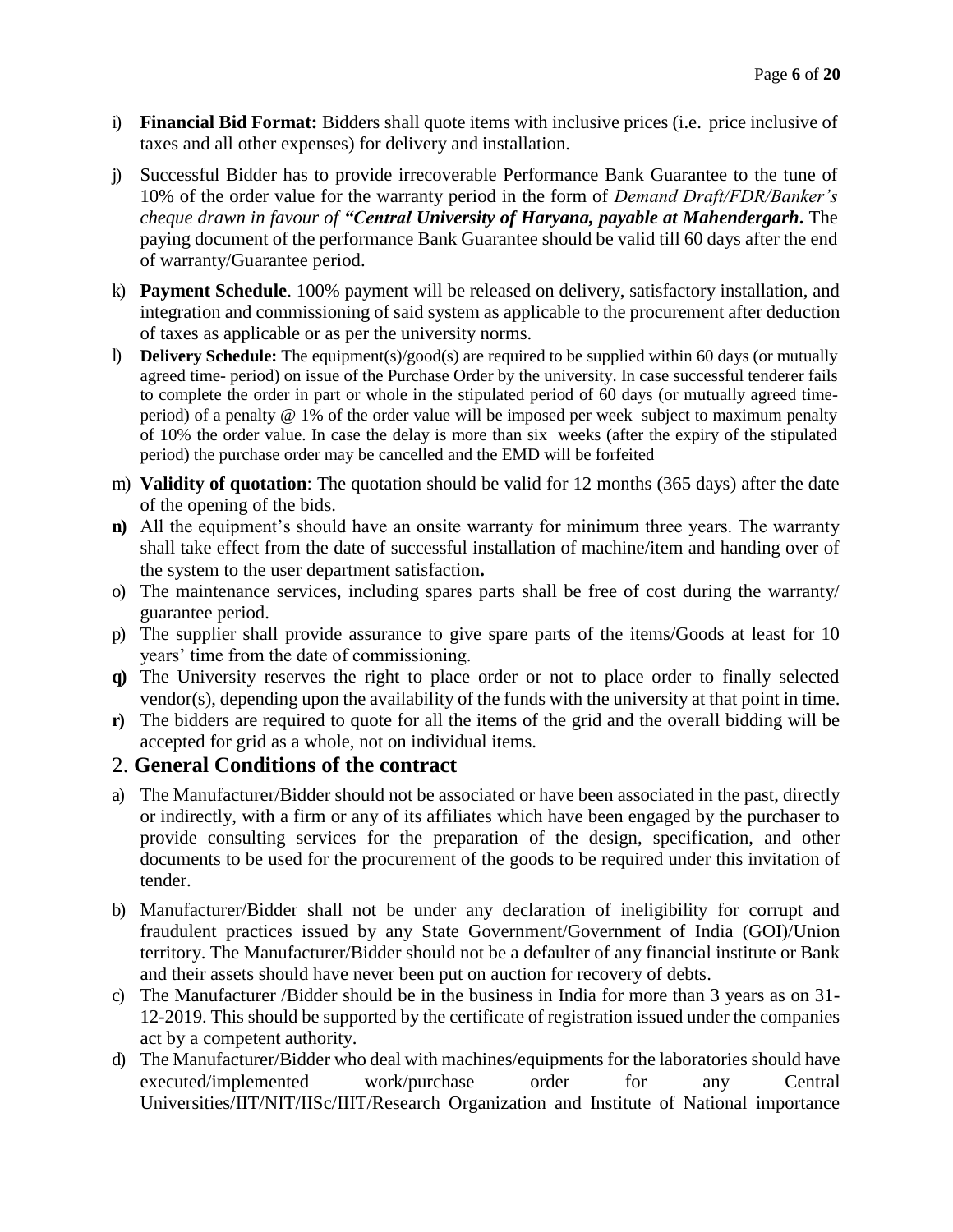- i) **Financial Bid Format:** Bidders shall quote items with inclusive prices (i.e. price inclusive of taxes and all other expenses) for delivery and installation.
- j) Successful Bidder has to provide irrecoverable Performance Bank Guarantee to the tune of 10% of the order value for the warranty period in the form of *Demand Draft/FDR/Banker's cheque drawn in favour of "Central University of Haryana, payable at Mahendergarh***.** The paying document of the performance Bank Guarantee should be valid till 60 days after the end of warranty/Guarantee period.
- k) **Payment Schedule**. 100% payment will be released on delivery, satisfactory installation, and integration and commissioning of said system as applicable to the procurement after deduction of taxes as applicable or as per the university norms.
- l) **Delivery Schedule:** The equipment(s)/good(s) are required to be supplied within 60 days (or mutually agreed time- period) on issue of the Purchase Order by the university. In case successful tenderer fails to complete the order in part or whole in the stipulated period of 60 days (or mutually agreed timeperiod) of a penalty @ 1% of the order value will be imposed per week subject to maximum penalty of 10% the order value. In case the delay is more than six weeks (after the expiry of the stipulated period) the purchase order may be cancelled and the EMD will be forfeited
- m) **Validity of quotation**: The quotation should be valid for 12 months (365 days) after the date of the opening of the bids.
- **n)** All the equipment's should have an onsite warranty for minimum three years. The warranty shall take effect from the date of successful installation of machine/item and handing over of the system to the user department satisfaction**.**
- o) The maintenance services, including spares parts shall be free of cost during the warranty/ guarantee period.
- p) The supplier shall provide assurance to give spare parts of the items/Goods at least for 10 years' time from the date of commissioning.
- **q)** The University reserves the right to place order or not to place order to finally selected vendor(s), depending upon the availability of the funds with the university at that point in time.
- **r)** The bidders are required to quote for all the items of the grid and the overall bidding will be accepted for grid as a whole, not on individual items.

# 2. **General Conditions of the contract**

- a) The Manufacturer/Bidder should not be associated or have been associated in the past, directly or indirectly, with a firm or any of its affiliates which have been engaged by the purchaser to provide consulting services for the preparation of the design, specification, and other documents to be used for the procurement of the goods to be required under this invitation of tender.
- b) Manufacturer/Bidder shall not be under any declaration of ineligibility for corrupt and fraudulent practices issued by any State Government/Government of India (GOI)/Union territory. The Manufacturer/Bidder should not be a defaulter of any financial institute or Bank and their assets should have never been put on auction for recovery of debts.
- c) The Manufacturer /Bidder should be in the business in India for more than 3 years as on 31- 12-2019. This should be supported by the certificate of registration issued under the companies act by a competent authority.
- d) The Manufacturer/Bidder who deal with machines/equipments for the laboratories should have executed/implemented work/purchase order for any Central Universities/IIT/NIT/IISc/IIIT/Research Organization and Institute of National importance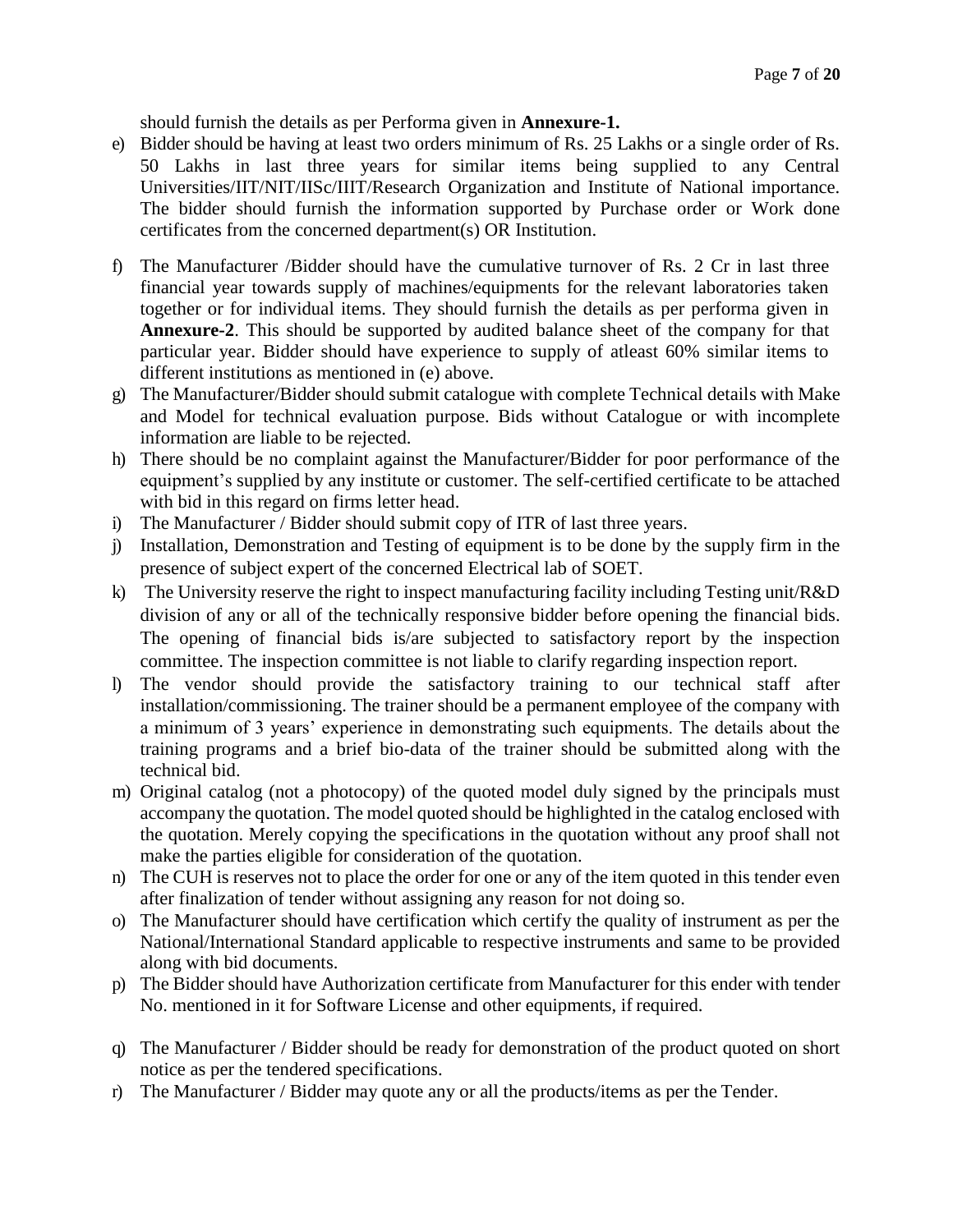should furnish the details as per Performa given in **Annexure-1.**

- e) Bidder should be having at least two orders minimum of Rs. 25 Lakhs or a single order of Rs. 50 Lakhs in last three years for similar items being supplied to any Central Universities/IIT/NIT/IISc/IIIT/Research Organization and Institute of National importance. The bidder should furnish the information supported by Purchase order or Work done certificates from the concerned department(s) OR Institution.
- f) The Manufacturer /Bidder should have the cumulative turnover of Rs. 2 Cr in last three financial year towards supply of machines/equipments for the relevant laboratories taken together or for individual items. They should furnish the details as per performa given in **Annexure-2**. This should be supported by audited balance sheet of the company for that particular year. Bidder should have experience to supply of atleast 60% similar items to different institutions as mentioned in (e) above.
- g) The Manufacturer/Bidder should submit catalogue with complete Technical details with Make and Model for technical evaluation purpose. Bids without Catalogue or with incomplete information are liable to be rejected.
- h) There should be no complaint against the Manufacturer/Bidder for poor performance of the equipment's supplied by any institute or customer. The self-certified certificate to be attached with bid in this regard on firms letter head.
- i) The Manufacturer / Bidder should submit copy of ITR of last three years.
- j) Installation, Demonstration and Testing of equipment is to be done by the supply firm in the presence of subject expert of the concerned Electrical lab of SOET.
- k) The University reserve the right to inspect manufacturing facility including Testing unit/R&D division of any or all of the technically responsive bidder before opening the financial bids. The opening of financial bids is/are subjected to satisfactory report by the inspection committee. The inspection committee is not liable to clarify regarding inspection report.
- l) The vendor should provide the satisfactory training to our technical staff after installation/commissioning. The trainer should be a permanent employee of the company with a minimum of 3 years' experience in demonstrating such equipments. The details about the training programs and a brief bio-data of the trainer should be submitted along with the technical bid.
- m) Original catalog (not a photocopy) of the quoted model duly signed by the principals must accompany the quotation. The model quoted should be highlighted in the catalog enclosed with the quotation. Merely copying the specifications in the quotation without any proof shall not make the parties eligible for consideration of the quotation.
- n) The CUH is reserves not to place the order for one or any of the item quoted in this tender even after finalization of tender without assigning any reason for not doing so.
- o) The Manufacturer should have certification which certify the quality of instrument as per the National/International Standard applicable to respective instruments and same to be provided along with bid documents.
- p) The Bidder should have Authorization certificate from Manufacturer for this ender with tender No. mentioned in it for Software License and other equipments, if required.
- q) The Manufacturer / Bidder should be ready for demonstration of the product quoted on short notice as per the tendered specifications.
- r) The Manufacturer / Bidder may quote any or all the products/items as per the Tender.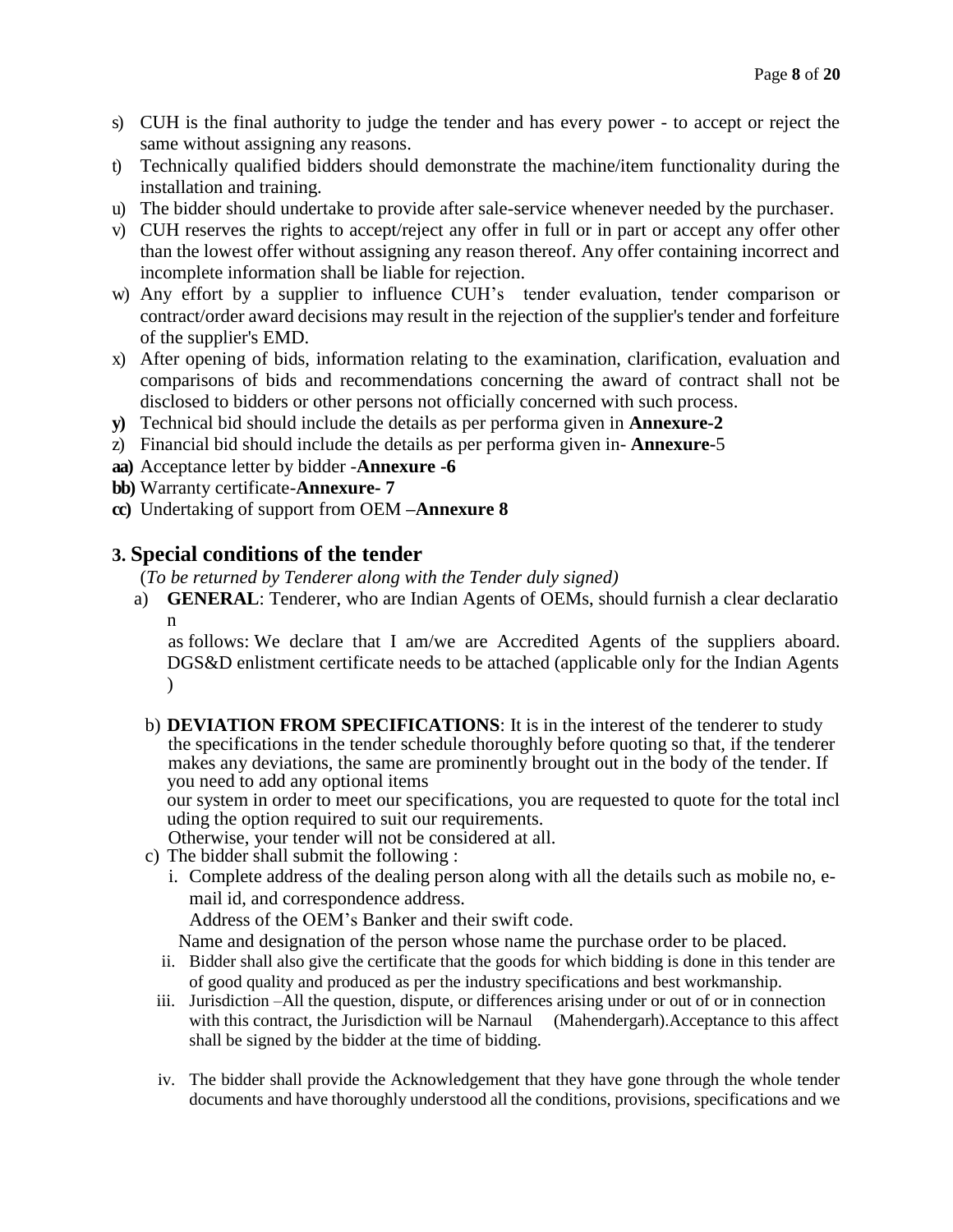- s) CUH is the final authority to judge the tender and has every power to accept or reject the same without assigning any reasons.
- t) Technically qualified bidders should demonstrate the machine/item functionality during the installation and training.
- u) The bidder should undertake to provide after sale-service whenever needed by the purchaser.
- v) CUH reserves the rights to accept/reject any offer in full or in part or accept any offer other than the lowest offer without assigning any reason thereof. Any offer containing incorrect and incomplete information shall be liable for rejection.
- w) Any effort by a supplier to influence CUH's tender evaluation, tender comparison or contract/order award decisions may result in the rejection of the supplier's tender and forfeiture of the supplier's EMD.
- x) After opening of bids, information relating to the examination, clarification, evaluation and comparisons of bids and recommendations concerning the award of contract shall not be disclosed to bidders or other persons not officially concerned with such process.
- **y)** Technical bid should include the details as per performa given in **Annexure-2**
- z) Financial bid should include the details as per performa given in- **Annexure-**5
- **aa)** Acceptance letter by bidder -**Annexure -6**
- **bb)** Warranty certificate-**Annexure- 7**
- **cc)** Undertaking of support from OEM **–Annexure 8**

# **3. Special conditions of the tender**

(*To be returned by Tenderer along with the Tender duly signed)* 

a) **GENERAL**: Tenderer, who are Indian Agents of OEMs, should furnish a clear declaratio n

as follows: We declare that I am/we are Accredited Agents of the suppliers aboard. DGS&D enlistment certificate needs to be attached (applicable only for the Indian Agents  $\lambda$ 

b) **DEVIATION FROM SPECIFICATIONS**: It is in the interest of the tenderer to study the specifications in the tender schedule thoroughly before quoting so that, if the tenderer makes any deviations, the same are prominently brought out in the body of the tender. If you need to add any optional items

our system in order to meet our specifications, you are requested to quote for the total incl uding the option required to suit our requirements.

Otherwise, your tender will not be considered at all.

- c) The bidder shall submit the following :
	- i. Complete address of the dealing person along with all the details such as mobile no, email id, and correspondence address.

Address of the OEM's Banker and their swift code.

Name and designation of the person whose name the purchase order to be placed.

- ii. Bidder shall also give the certificate that the goods for which bidding is done in this tender are of good quality and produced as per the industry specifications and best workmanship.
- iii. Jurisdiction –All the question, dispute, or differences arising under or out of or in connection with this contract, the Jurisdiction will be Narnaul (Mahendergarh). Acceptance to this affect shall be signed by the bidder at the time of bidding.
- iv. The bidder shall provide the Acknowledgement that they have gone through the whole tender documents and have thoroughly understood all the conditions, provisions, specifications and we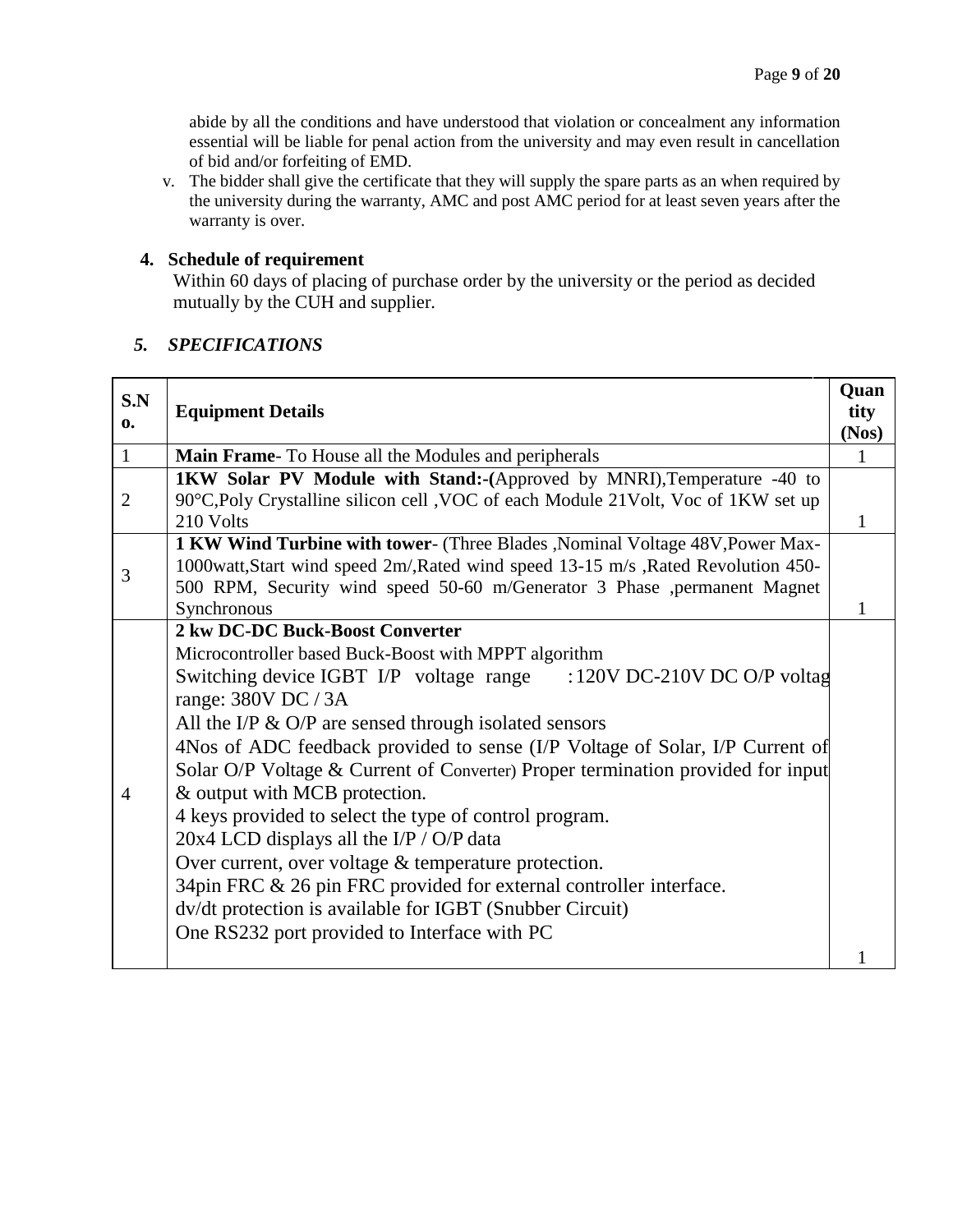abide by all the conditions and have understood that violation or concealment any information essential will be liable for penal action from the university and may even result in cancellation of bid and/or forfeiting of EMD.

v. The bidder shall give the certificate that they will supply the spare parts as an when required by the university during the warranty, AMC and post AMC period for at least seven years after the warranty is over.

## **4. Schedule of requirement**

Within 60 days of placing of purchase order by the university or the period as decided mutually by the CUH and supplier.

# *5. SPECIFICATIONS*

| S.N<br>0.      | <b>Equipment Details</b>                                                                                                                                                                                                                                                                                                                                                                                                                                                                                                                                                                                                                                                                                                                                                                               | Quan<br>tity<br>(Nos) |
|----------------|--------------------------------------------------------------------------------------------------------------------------------------------------------------------------------------------------------------------------------------------------------------------------------------------------------------------------------------------------------------------------------------------------------------------------------------------------------------------------------------------------------------------------------------------------------------------------------------------------------------------------------------------------------------------------------------------------------------------------------------------------------------------------------------------------------|-----------------------|
| $\mathbf{1}$   | Main Frame- To House all the Modules and peripherals                                                                                                                                                                                                                                                                                                                                                                                                                                                                                                                                                                                                                                                                                                                                                   | 1                     |
| $\overline{2}$ | <b>1KW Solar PV Module with Stand:-</b> (Approved by MNRI), Temperature -40 to<br>90°C,Poly Crystalline silicon cell ,VOC of each Module 21Volt, Voc of 1KW set up<br>210 Volts                                                                                                                                                                                                                                                                                                                                                                                                                                                                                                                                                                                                                        | 1                     |
| 3              | 1 KW Wind Turbine with tower- (Three Blades, Nominal Voltage 48V, Power Max-<br>1000watt, Start wind speed 2m/, Rated wind speed 13-15 m/s , Rated Revolution 450-<br>500 RPM, Security wind speed 50-60 m/Generator 3 Phase ,permanent Magnet<br>Synchronous                                                                                                                                                                                                                                                                                                                                                                                                                                                                                                                                          |                       |
| $\overline{4}$ | 2 kw DC-DC Buck-Boost Converter<br>Microcontroller based Buck-Boost with MPPT algorithm<br>Switching device IGBT I/P voltage range : 120V DC-210V DC O/P voltag<br>range: 380V DC / 3A<br>All the I/P $\&$ O/P are sensed through isolated sensors<br>4Nos of ADC feedback provided to sense (I/P Voltage of Solar, I/P Current of<br>Solar O/P Voltage & Current of Converter) Proper termination provided for input<br>& output with MCB protection.<br>4 keys provided to select the type of control program.<br>20x4 LCD displays all the I/P / O/P data<br>Over current, over voltage & temperature protection.<br>34pin FRC & 26 pin FRC provided for external controller interface.<br>dv/dt protection is available for IGBT (Snubber Circuit)<br>One RS232 port provided to Interface with PC |                       |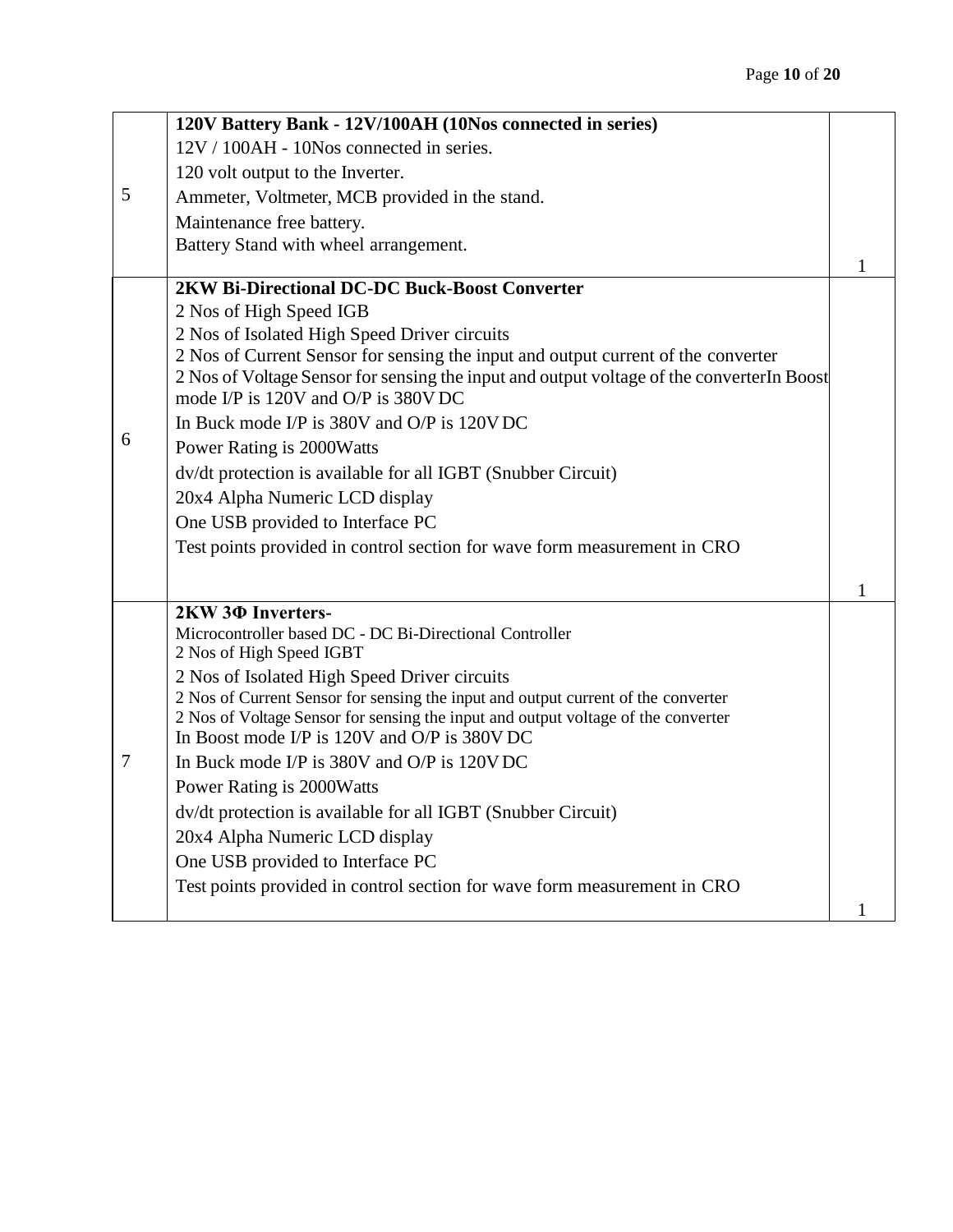|        | 120V Battery Bank - 12V/100AH (10Nos connected in series)                                                                         |   |
|--------|-----------------------------------------------------------------------------------------------------------------------------------|---|
|        | 12V / 100AH - 10Nos connected in series.                                                                                          |   |
|        | 120 volt output to the Inverter.                                                                                                  |   |
| 5      | Ammeter, Voltmeter, MCB provided in the stand.                                                                                    |   |
|        | Maintenance free battery.                                                                                                         |   |
|        | Battery Stand with wheel arrangement.                                                                                             |   |
|        |                                                                                                                                   | 1 |
|        | 2KW Bi-Directional DC-DC Buck-Boost Converter                                                                                     |   |
|        | 2 Nos of High Speed IGB                                                                                                           |   |
|        | 2 Nos of Isolated High Speed Driver circuits<br>2 Nos of Current Sensor for sensing the input and output current of the converter |   |
|        | 2 Nos of Voltage Sensor for sensing the input and output voltage of the converter In Boost                                        |   |
|        | mode I/P is 120V and O/P is 380V DC                                                                                               |   |
|        | In Buck mode I/P is 380V and O/P is 120V DC                                                                                       |   |
| 6      | Power Rating is 2000Watts                                                                                                         |   |
|        | dv/dt protection is available for all IGBT (Snubber Circuit)                                                                      |   |
|        | 20x4 Alpha Numeric LCD display                                                                                                    |   |
|        | One USB provided to Interface PC                                                                                                  |   |
|        | Test points provided in control section for wave form measurement in CRO                                                          |   |
|        |                                                                                                                                   |   |
|        |                                                                                                                                   | 1 |
|        | 2KW 3Φ Inverters-<br>Microcontroller based DC - DC Bi-Directional Controller                                                      |   |
|        | 2 Nos of High Speed IGBT                                                                                                          |   |
|        | 2 Nos of Isolated High Speed Driver circuits                                                                                      |   |
|        | 2 Nos of Current Sensor for sensing the input and output current of the converter                                                 |   |
|        | 2 Nos of Voltage Sensor for sensing the input and output voltage of the converter                                                 |   |
|        | In Boost mode I/P is 120V and O/P is 380V DC                                                                                      |   |
| $\tau$ | In Buck mode I/P is 380V and O/P is 120V DC                                                                                       |   |
|        | Power Rating is 2000Watts                                                                                                         |   |
|        | dv/dt protection is available for all IGBT (Snubber Circuit)                                                                      |   |
|        | 20x4 Alpha Numeric LCD display                                                                                                    |   |
|        | One USB provided to Interface PC                                                                                                  |   |
|        | Test points provided in control section for wave form measurement in CRO                                                          |   |
|        |                                                                                                                                   |   |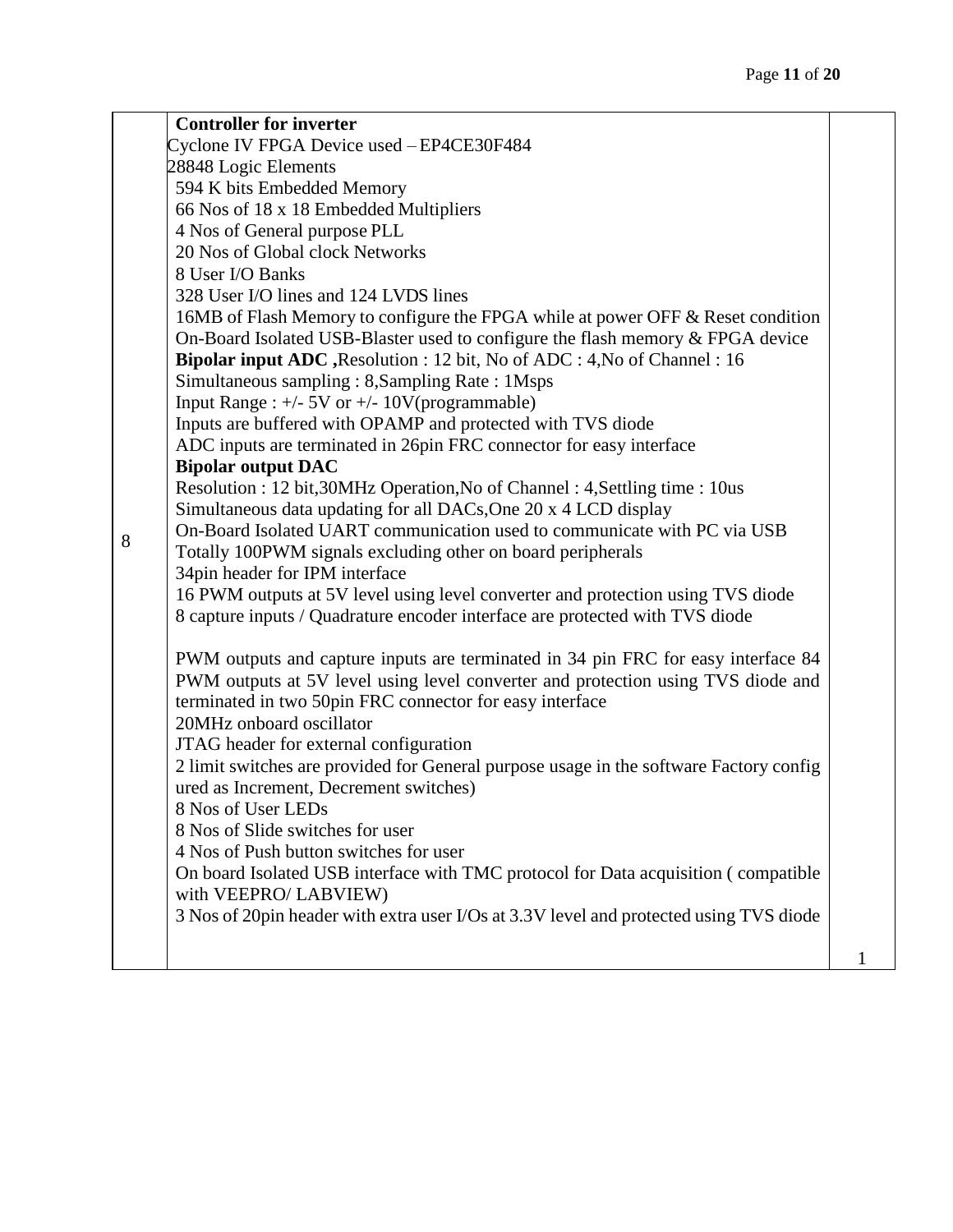|   | <b>Controller for inverter</b>                                                                                                                                                                                                    |  |
|---|-----------------------------------------------------------------------------------------------------------------------------------------------------------------------------------------------------------------------------------|--|
|   | Cyclone IV FPGA Device used - EP4CE30F484                                                                                                                                                                                         |  |
|   | 28848 Logic Elements                                                                                                                                                                                                              |  |
|   | 594 K bits Embedded Memory                                                                                                                                                                                                        |  |
|   | 66 Nos of 18 x 18 Embedded Multipliers                                                                                                                                                                                            |  |
|   | 4 Nos of General purpose PLL                                                                                                                                                                                                      |  |
|   | 20 Nos of Global clock Networks                                                                                                                                                                                                   |  |
|   | 8 User I/O Banks                                                                                                                                                                                                                  |  |
|   | 328 User I/O lines and 124 LVDS lines                                                                                                                                                                                             |  |
|   | 16MB of Flash Memory to configure the FPGA while at power OFF & Reset condition                                                                                                                                                   |  |
|   | On-Board Isolated USB-Blaster used to configure the flash memory & FPGA device                                                                                                                                                    |  |
|   | Bipolar input ADC, Resolution : 12 bit, No of ADC : 4, No of Channel : 16                                                                                                                                                         |  |
|   | Simultaneous sampling: 8, Sampling Rate: 1Msps                                                                                                                                                                                    |  |
|   | Input Range : $+/-$ 5V or $+/-$ 10V(programmable)                                                                                                                                                                                 |  |
|   | Inputs are buffered with OPAMP and protected with TVS diode                                                                                                                                                                       |  |
|   | ADC inputs are terminated in 26pin FRC connector for easy interface                                                                                                                                                               |  |
|   | <b>Bipolar output DAC</b>                                                                                                                                                                                                         |  |
|   | Resolution : 12 bit, 30MHz Operation, No of Channel : 4, Settling time : 10us                                                                                                                                                     |  |
|   | Simultaneous data updating for all DACs, One 20 x 4 LCD display                                                                                                                                                                   |  |
| 8 | On-Board Isolated UART communication used to communicate with PC via USB                                                                                                                                                          |  |
|   | Totally 100PWM signals excluding other on board peripherals                                                                                                                                                                       |  |
|   | 34pin header for IPM interface                                                                                                                                                                                                    |  |
|   | 16 PWM outputs at 5V level using level converter and protection using TVS diode                                                                                                                                                   |  |
|   | 8 capture inputs / Quadrature encoder interface are protected with TVS diode                                                                                                                                                      |  |
|   | PWM outputs and capture inputs are terminated in 34 pin FRC for easy interface 84<br>PWM outputs at 5V level using level converter and protection using TVS diode and<br>terminated in two 50pin FRC connector for easy interface |  |
|   | 20MHz onboard oscillator                                                                                                                                                                                                          |  |
|   | JTAG header for external configuration                                                                                                                                                                                            |  |
|   | 2 limit switches are provided for General purpose usage in the software Factory config                                                                                                                                            |  |
|   | ured as Increment, Decrement switches)                                                                                                                                                                                            |  |
|   | 8 Nos of User LEDs<br>8 Nos of Slide switches for user                                                                                                                                                                            |  |
|   | 4 Nos of Push button switches for user                                                                                                                                                                                            |  |
|   | On board Isolated USB interface with TMC protocol for Data acquisition (compatible                                                                                                                                                |  |
|   | with VEEPRO/ LABVIEW)                                                                                                                                                                                                             |  |
|   | 3 Nos of 20pin header with extra user I/Os at 3.3V level and protected using TVS diode                                                                                                                                            |  |
|   |                                                                                                                                                                                                                                   |  |
|   |                                                                                                                                                                                                                                   |  |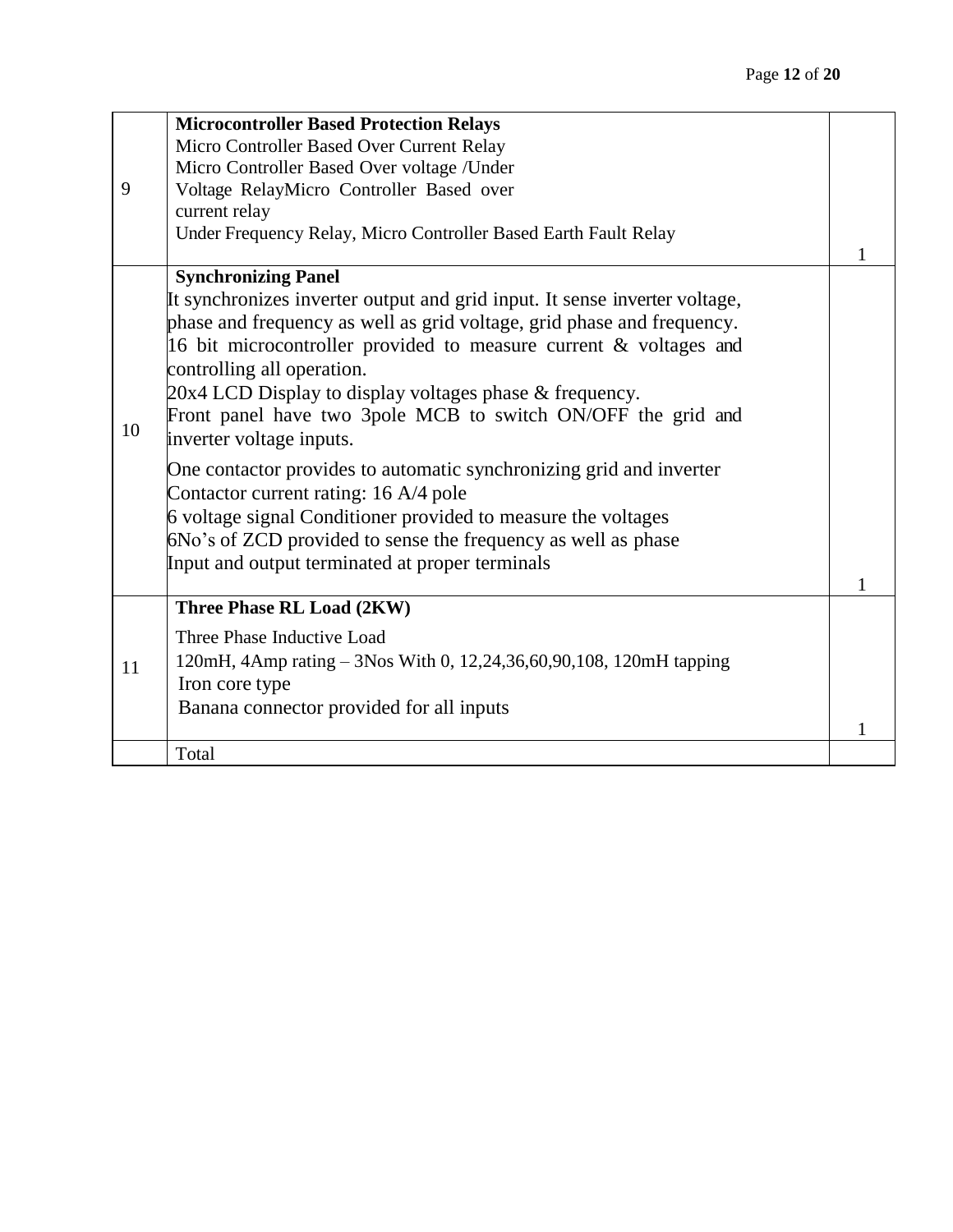|    | <b>Microcontroller Based Protection Relays</b>                             |              |
|----|----------------------------------------------------------------------------|--------------|
|    | Micro Controller Based Over Current Relay                                  |              |
|    | Micro Controller Based Over voltage / Under                                |              |
| 9  | Voltage RelayMicro Controller Based over                                   |              |
|    | current relay                                                              |              |
|    | Under Frequency Relay, Micro Controller Based Earth Fault Relay            |              |
|    | <b>Synchronizing Panel</b>                                                 |              |
|    | It synchronizes inverter output and grid input. It sense inverter voltage, |              |
|    | phase and frequency as well as grid voltage, grid phase and frequency.     |              |
|    | 16 bit microcontroller provided to measure current & voltages and          |              |
|    | controlling all operation.                                                 |              |
|    | $20x4$ LCD Display to display voltages phase $\&$ frequency.               |              |
|    | Front panel have two 3pole MCB to switch ON/OFF the grid and               |              |
| 10 | inverter voltage inputs.                                                   |              |
|    | One contactor provides to automatic synchronizing grid and inverter        |              |
|    | Contactor current rating: 16 A/4 pole                                      |              |
|    | 6 voltage signal Conditioner provided to measure the voltages              |              |
|    | 6No's of ZCD provided to sense the frequency as well as phase              |              |
|    | Input and output terminated at proper terminals                            |              |
|    |                                                                            |              |
|    | Three Phase RL Load (2KW)                                                  |              |
|    | Three Phase Inductive Load                                                 |              |
| 11 | 120mH, 4Amp rating - 3Nos With 0, 12,24,36,60,90,108, 120mH tapping        |              |
|    | Iron core type                                                             |              |
|    | Banana connector provided for all inputs                                   |              |
|    |                                                                            | $\mathbf{1}$ |
|    | Total                                                                      |              |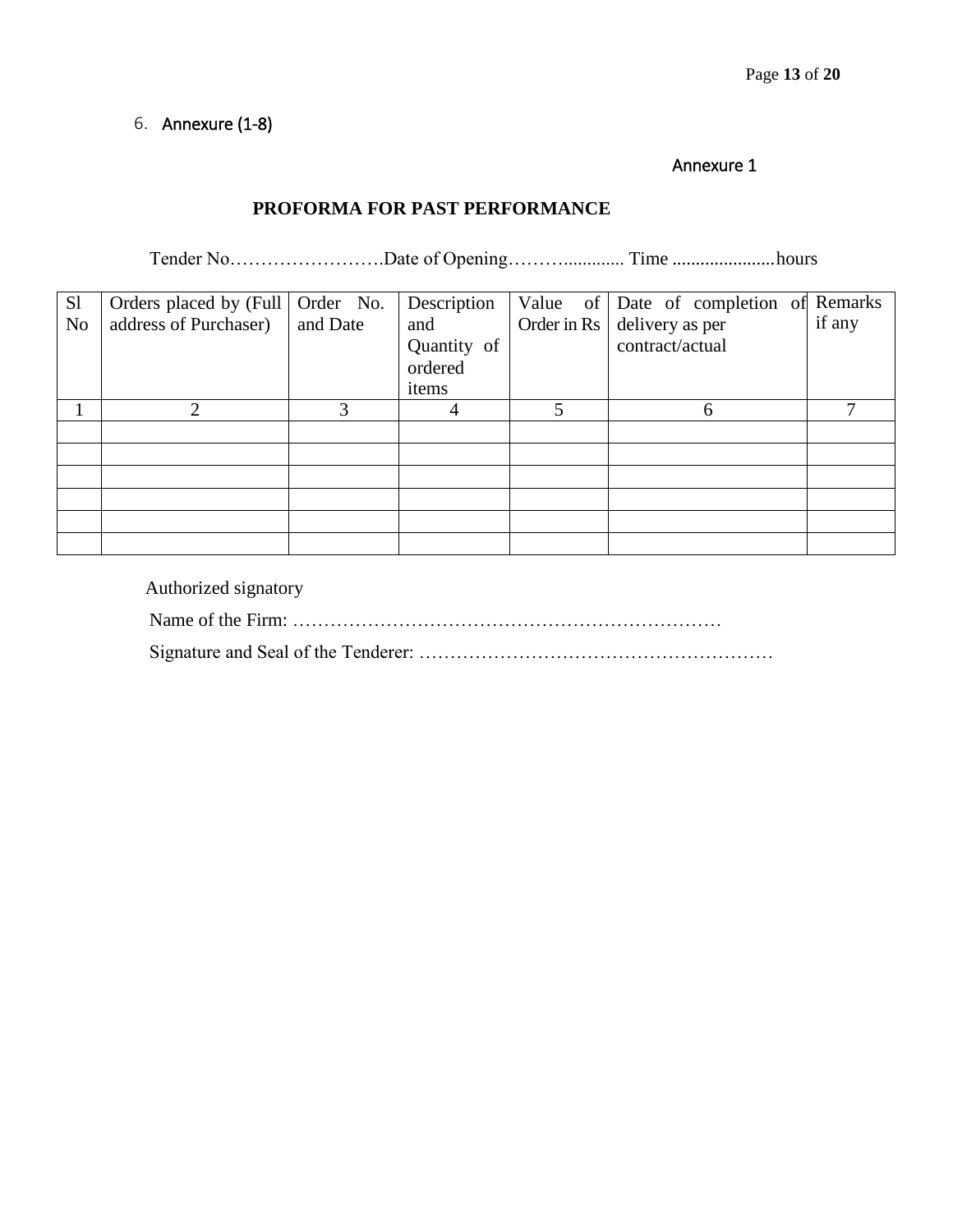# 6. Annexure (1-8)

#### Annexure 1

# **PROFORMA FOR PAST PERFORMANCE**

Tender No…………………….Date of Opening………............. Time ......................hours

| S <sub>1</sub><br>N <sub>0</sub> | Orders placed by (Full   Order No.<br>address of Purchaser) | and Date | Description<br>and              | Value of Date of completion of Remarks<br>Order in $\text{Rs}$ delivery as per | if any |
|----------------------------------|-------------------------------------------------------------|----------|---------------------------------|--------------------------------------------------------------------------------|--------|
|                                  |                                                             |          | Quantity of<br>ordered<br>items | contract/actual                                                                |        |
|                                  | $\mathfrak{D}$                                              | 3        |                                 | 6                                                                              |        |
|                                  |                                                             |          |                                 |                                                                                |        |
|                                  |                                                             |          |                                 |                                                                                |        |
|                                  |                                                             |          |                                 |                                                                                |        |
|                                  |                                                             |          |                                 |                                                                                |        |
|                                  |                                                             |          |                                 |                                                                                |        |
|                                  |                                                             |          |                                 |                                                                                |        |

Authorized signatory

Name of the Firm: ……………………………………………………………

Signature and Seal of the Tenderer: …………………………………………………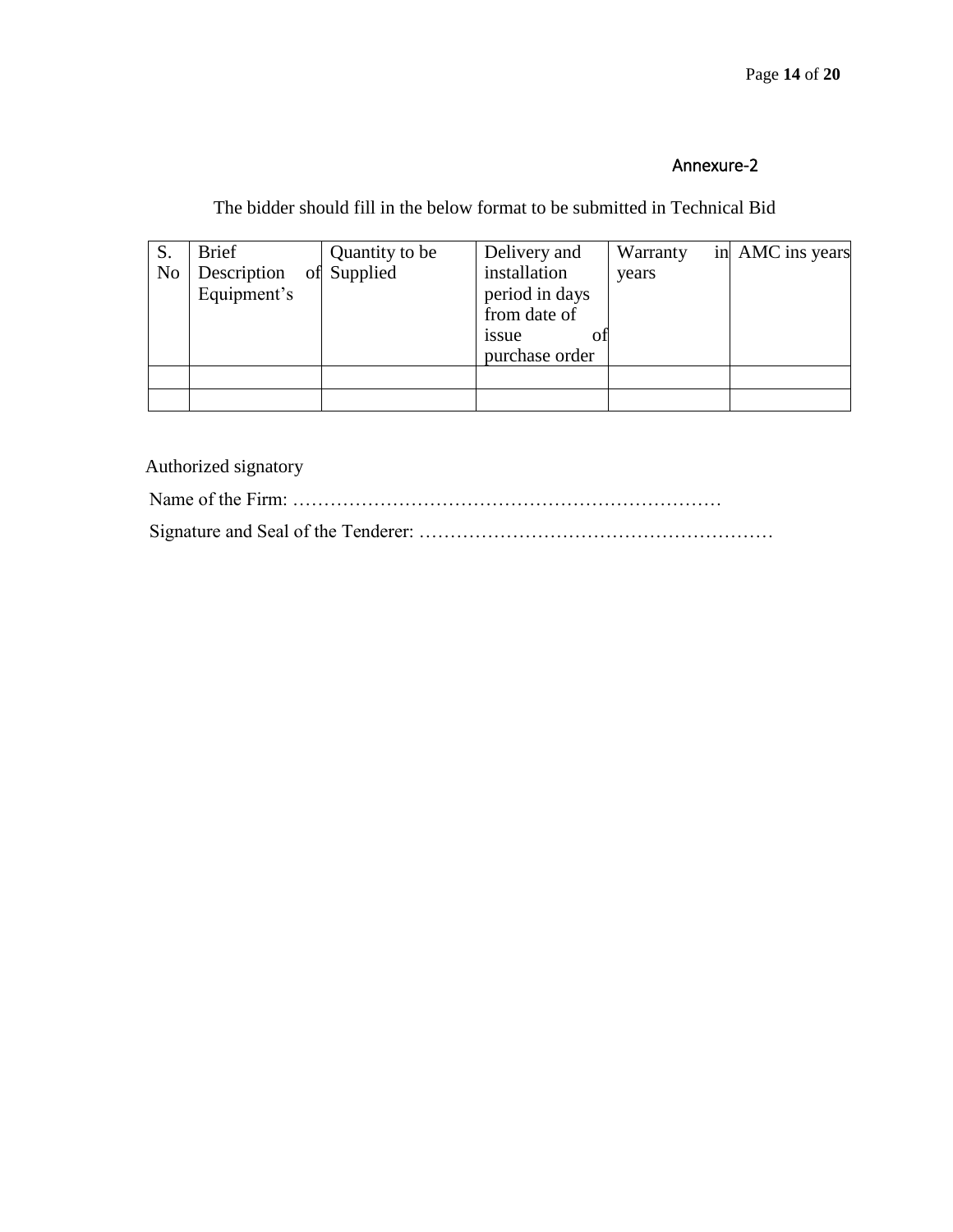The bidder should fill in the below format to be submitted in Technical Bid

| S.             | <b>Brief</b> | Quantity to be | Delivery and   | Warranty | in AMC ins years |
|----------------|--------------|----------------|----------------|----------|------------------|
| N <sub>o</sub> | Description  | Supplied       | installation   | years    |                  |
|                | Equipment's  |                | period in days |          |                  |
|                |              |                | from date of   |          |                  |
|                |              |                | issue<br>ОT    |          |                  |
|                |              |                | purchase order |          |                  |
|                |              |                |                |          |                  |
|                |              |                |                |          |                  |

Authorized signatory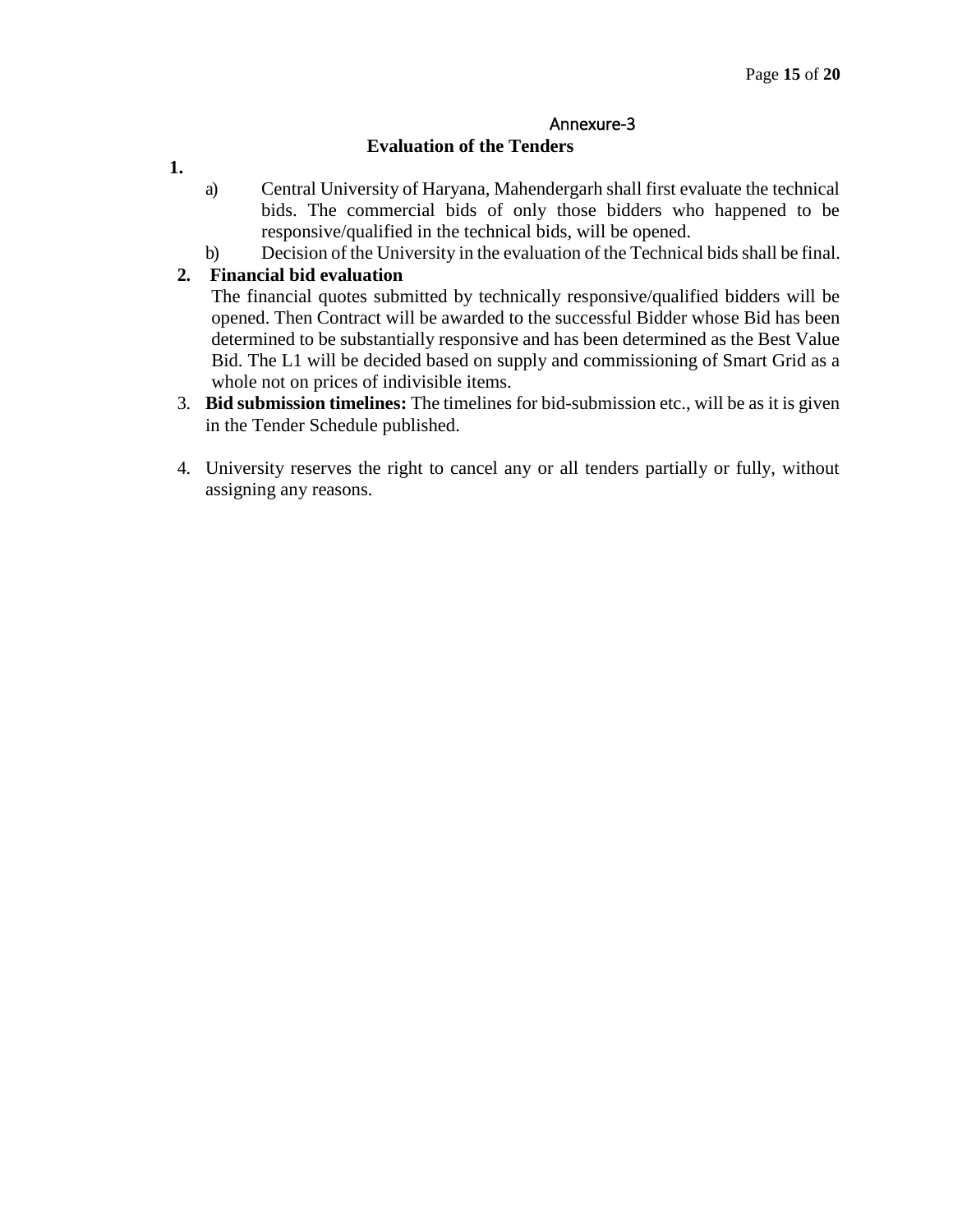## **Evaluation of the Tenders**

- **1.**
- a) Central University of Haryana, Mahendergarh shall first evaluate the technical bids. The commercial bids of only those bidders who happened to be responsive/qualified in the technical bids, will be opened.
- b) Decision of the University in the evaluation of the Technical bids shall be final.

# **2. Financial bid evaluation**

The financial quotes submitted by technically responsive/qualified bidders will be opened. Then Contract will be awarded to the successful Bidder whose Bid has been determined to be substantially responsive and has been determined as the Best Value Bid. The L1 will be decided based on supply and commissioning of Smart Grid as a whole not on prices of indivisible items.

- 3. **Bid submission timelines:** The timelines for bid-submission etc., will be as it is given in the Tender Schedule published.
- 4. University reserves the right to cancel any or all tenders partially or fully, without assigning any reasons.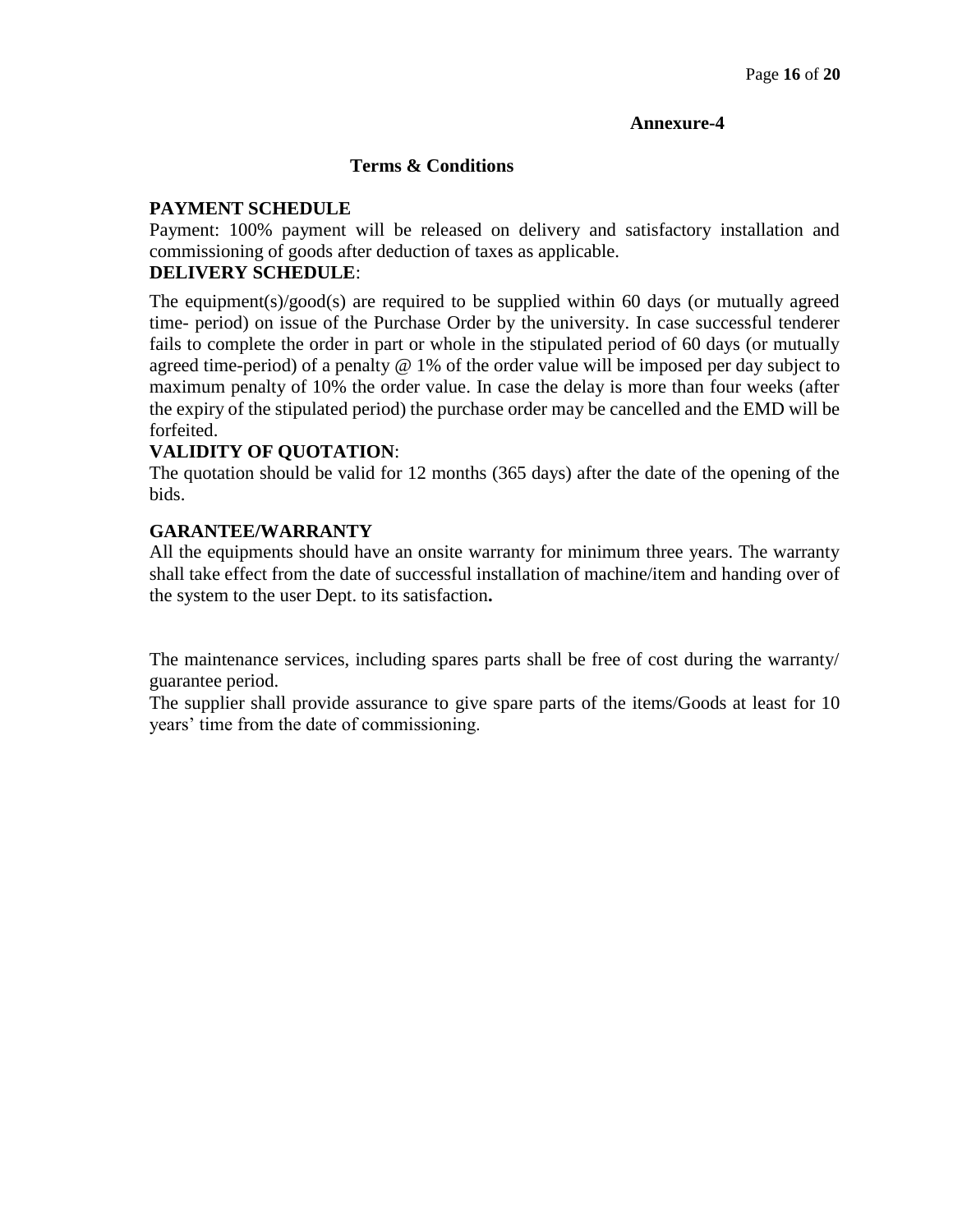#### **Terms & Conditions**

## **PAYMENT SCHEDULE**

Payment: 100% payment will be released on delivery and satisfactory installation and commissioning of goods after deduction of taxes as applicable.

# **DELIVERY SCHEDULE**:

The equipment(s)/good(s) are required to be supplied within 60 days (or mutually agreed time- period) on issue of the Purchase Order by the university. In case successful tenderer fails to complete the order in part or whole in the stipulated period of 60 days (or mutually agreed time-period) of a penalty @ 1% of the order value will be imposed per day subject to maximum penalty of 10% the order value. In case the delay is more than four weeks (after the expiry of the stipulated period) the purchase order may be cancelled and the EMD will be forfeited.

# **VALIDITY OF QUOTATION**:

The quotation should be valid for 12 months (365 days) after the date of the opening of the bids.

## **GARANTEE/WARRANTY**

All the equipments should have an onsite warranty for minimum three years. The warranty shall take effect from the date of successful installation of machine/item and handing over of the system to the user Dept. to its satisfaction**.**

The maintenance services, including spares parts shall be free of cost during the warranty/ guarantee period.

The supplier shall provide assurance to give spare parts of the items/Goods at least for 10 years' time from the date of commissioning.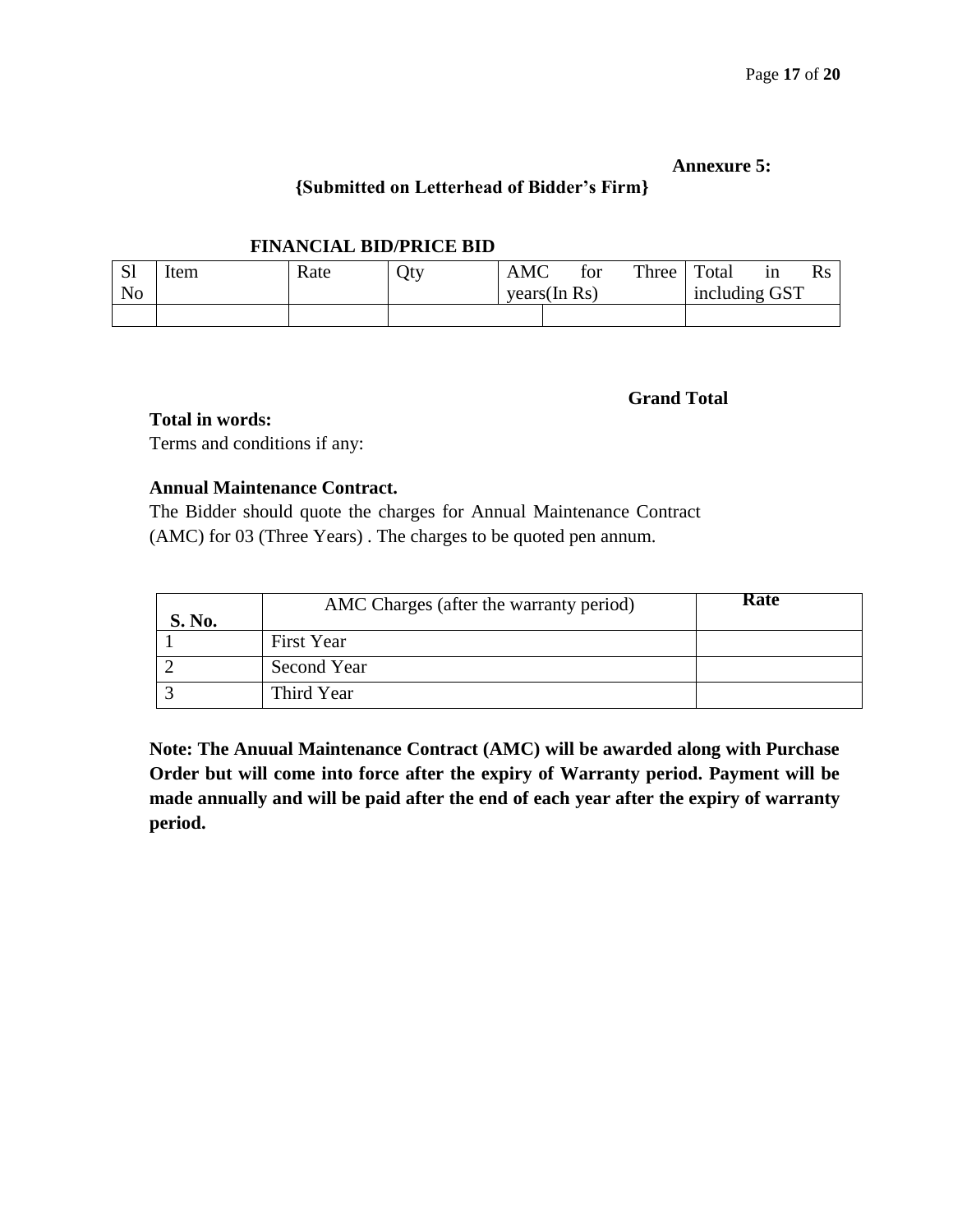#### **Annexure 5:**

# **{Submitted on Letterhead of Bidder's Firm}**

#### **FINANCIAL BID/PRICE BID**

| <b>C1</b><br>لات | 'tem | Rate | Qty | <b>AMC</b>   | tor | Three | Total         | ın | $\rm Rs$ |
|------------------|------|------|-----|--------------|-----|-------|---------------|----|----------|
| N <sub>0</sub>   |      |      |     | years(In Rs) |     |       | including GST |    |          |
|                  |      |      |     |              |     |       |               |    |          |

#### **Grand Total**

**Total in words:**

Terms and conditions if any:

# **Annual Maintenance Contract.**

The Bidder should quote the charges for Annual Maintenance Contract (AMC) for 03 (Three Years) . The charges to be quoted pen annum.

| S. No. | AMC Charges (after the warranty period) | Rate |
|--------|-----------------------------------------|------|
|        | First Year                              |      |
|        | Second Year                             |      |
|        | Third Year                              |      |

**Note: The Anuual Maintenance Contract (AMC) will be awarded along with Purchase Order but will come into force after the expiry of Warranty period. Payment will be made annually and will be paid after the end of each year after the expiry of warranty period.**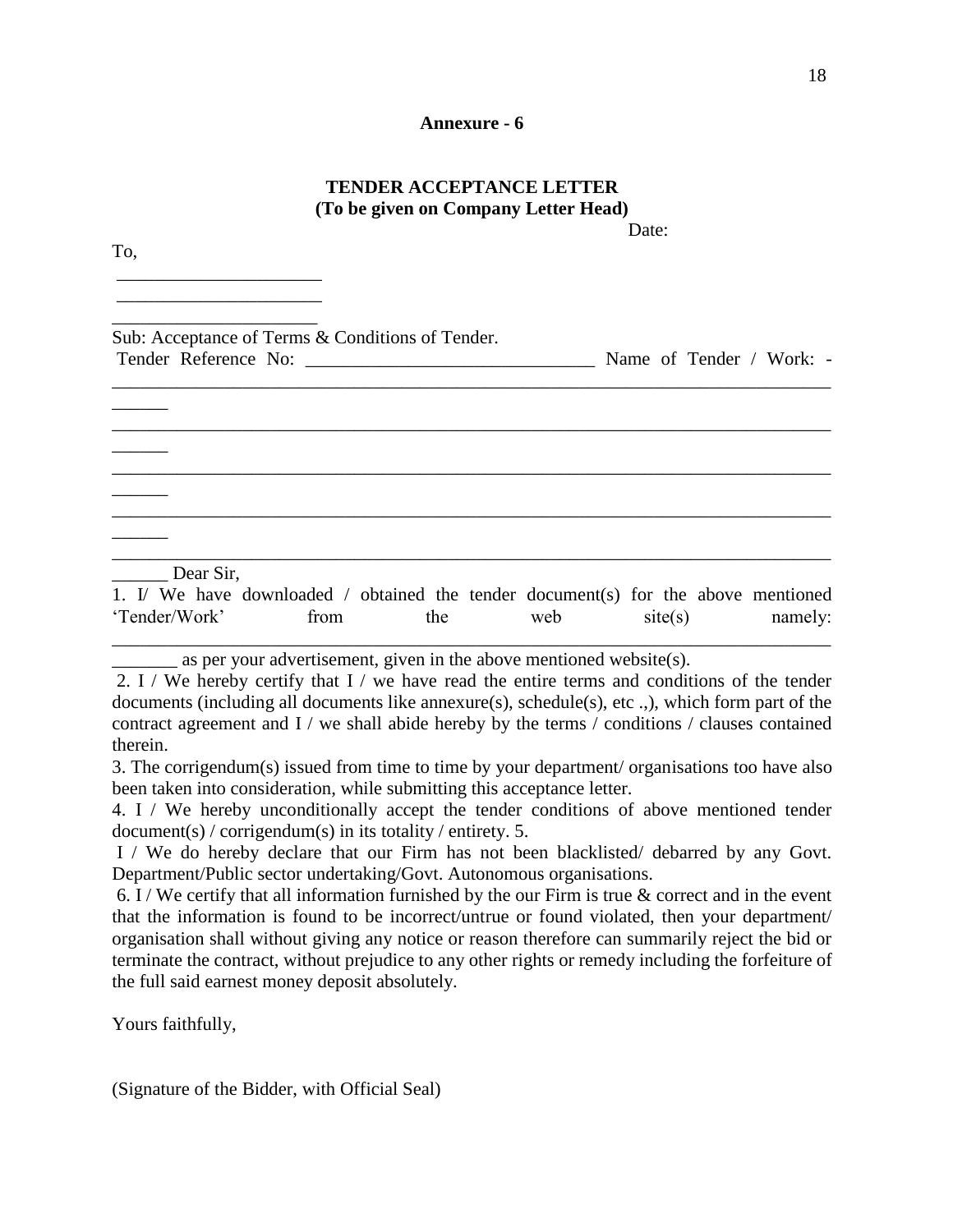#### **TENDER ACCEPTANCE LETTER (To be given on Company Letter Head)** Date:

To, \_\_\_\_\_\_\_\_\_\_\_\_\_\_\_\_\_\_\_\_\_\_ \_\_\_\_\_\_\_\_\_\_\_\_\_\_\_\_\_\_\_\_\_\_ \_\_\_\_\_\_\_\_\_\_\_\_\_\_\_\_\_\_\_\_\_\_ Sub: Acceptance of Terms & Conditions of Tender. Tender Reference No: Name of Tender / Work: -\_\_\_\_\_\_\_\_\_\_\_\_\_\_\_\_\_\_\_\_\_\_\_\_\_\_\_\_\_\_\_\_\_\_\_\_\_\_\_\_\_\_\_\_\_\_\_\_\_\_\_\_\_\_\_\_\_\_\_\_\_\_\_\_\_\_\_\_\_\_\_\_\_\_\_\_\_  $\overline{\phantom{a}}$ \_\_\_\_\_\_\_\_\_\_\_\_\_\_\_\_\_\_\_\_\_\_\_\_\_\_\_\_\_\_\_\_\_\_\_\_\_\_\_\_\_\_\_\_\_\_\_\_\_\_\_\_\_\_\_\_\_\_\_\_\_\_\_\_\_\_\_\_\_\_\_\_\_\_\_\_\_  $\overline{\phantom{a}}$ \_\_\_\_\_\_\_\_\_\_\_\_\_\_\_\_\_\_\_\_\_\_\_\_\_\_\_\_\_\_\_\_\_\_\_\_\_\_\_\_\_\_\_\_\_\_\_\_\_\_\_\_\_\_\_\_\_\_\_\_\_\_\_\_\_\_\_\_\_\_\_\_\_\_\_\_\_  $\overline{\phantom{a}}$ \_\_\_\_\_\_\_\_\_\_\_\_\_\_\_\_\_\_\_\_\_\_\_\_\_\_\_\_\_\_\_\_\_\_\_\_\_\_\_\_\_\_\_\_\_\_\_\_\_\_\_\_\_\_\_\_\_\_\_\_\_\_\_\_\_\_\_\_\_\_\_\_\_\_\_\_\_  $\overline{\phantom{a}}$ \_\_\_\_\_\_\_\_\_\_\_\_\_\_\_\_\_\_\_\_\_\_\_\_\_\_\_\_\_\_\_\_\_\_\_\_\_\_\_\_\_\_\_\_\_\_\_\_\_\_\_\_\_\_\_\_\_\_\_\_\_\_\_\_\_\_\_\_\_\_\_\_\_\_\_\_\_ Dear Sir. 1. I/ We have downloaded / obtained the tender document(s) for the above mentioned 'Tender/Work' from the web site(s) namely:

\_\_\_\_\_\_\_ as per your advertisement, given in the above mentioned website(s).

2. I / We hereby certify that I / we have read the entire terms and conditions of the tender documents (including all documents like annexure(s), schedule(s), etc .,), which form part of the contract agreement and I / we shall abide hereby by the terms / conditions / clauses contained therein.

\_\_\_\_\_\_\_\_\_\_\_\_\_\_\_\_\_\_\_\_\_\_\_\_\_\_\_\_\_\_\_\_\_\_\_\_\_\_\_\_\_\_\_\_\_\_\_\_\_\_\_\_\_\_\_\_\_\_\_\_\_\_\_\_\_\_\_\_\_\_\_\_\_\_\_\_\_

3. The corrigendum(s) issued from time to time by your department/ organisations too have also been taken into consideration, while submitting this acceptance letter.

4. I / We hereby unconditionally accept the tender conditions of above mentioned tender document(s) / corrigendum(s) in its totality / entirety. 5.

I / We do hereby declare that our Firm has not been blacklisted/ debarred by any Govt. Department/Public sector undertaking/Govt. Autonomous organisations.

6. I / We certify that all information furnished by the our Firm is true  $\&$  correct and in the event that the information is found to be incorrect/untrue or found violated, then your department/ organisation shall without giving any notice or reason therefore can summarily reject the bid or terminate the contract, without prejudice to any other rights or remedy including the forfeiture of the full said earnest money deposit absolutely.

Yours faithfully,

(Signature of the Bidder, with Official Seal)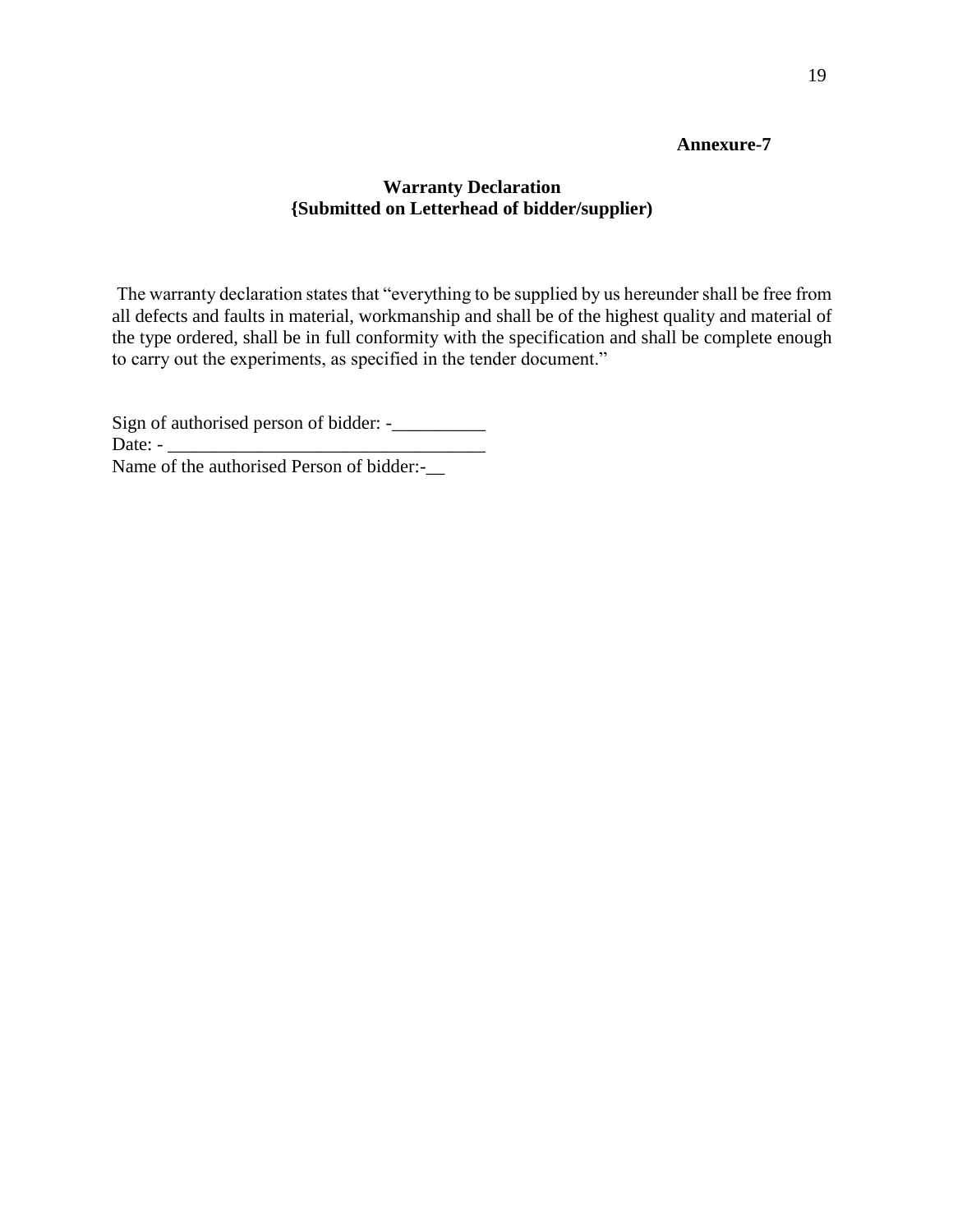# **Warranty Declaration {Submitted on Letterhead of bidder/supplier)**

The warranty declaration states that "everything to be supplied by us hereunder shall be free from all defects and faults in material, workmanship and shall be of the highest quality and material of the type ordered, shall be in full conformity with the specification and shall be complete enough to carry out the experiments, as specified in the tender document."

Sign of authorised person of bidder: -\_\_\_\_\_\_\_\_\_\_ Date:  $-$ Name of the authorised Person of bidder:-\_\_